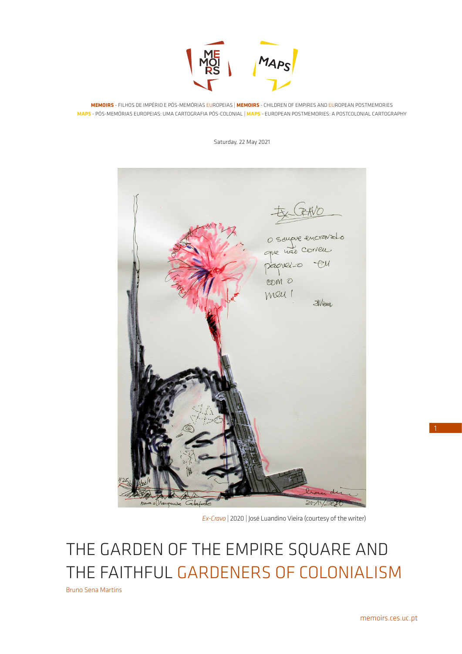

**MEMOIRS** - FILHOS DE IMPÉRIO E PÓS-MEMÓRIAS EUROPEIAS | **MEMOIRS** - CHILDREN OF EMPIRES AND EUROPEAN POSTMEMORIES **MAPS** - PÓS-MEMÓRIAS EUROPEIAS: UMA CARTOGRAFIA PÓS-COLONIAL | **MAPS** - EUROPEAN POSTMEMORIES: A POSTCOLONIAL CARTOGRAPHY

Saturday, 22 May 2021



*Ex-Cravo |* 2020 | José Luandino Vieira (courtesy of the writer)

THE GARDEN OF THE EMPIRE SQUARE AND THE FAITHFUL GARDENERS OF COLONIALISM

Bruno Sena Martins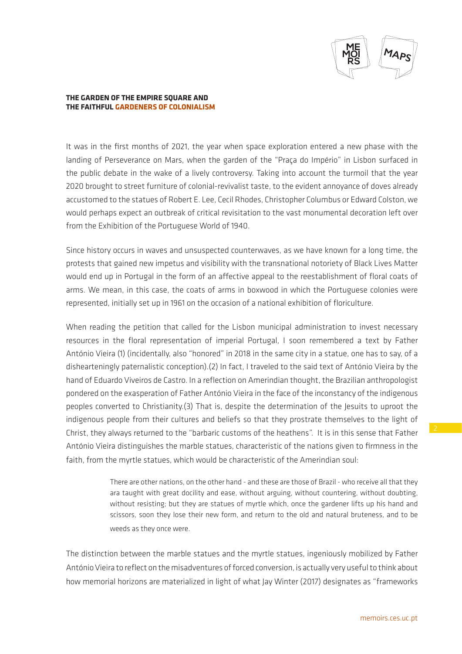

## **THE GARDEN OF THE EMPIRE SQUARE AND THE FAITHFUL GARDENERS OF COLONIALISM**

It was in the first months of 2021, the year when space exploration entered a new phase with the landing of Perseverance on Mars, when the garden of the "Praça do Império" in Lisbon surfaced in the public debate in the wake of a lively controversy. Taking into account the turmoil that the year 2020 brought to street furniture of colonial-revivalist taste, to the evident annoyance of doves already accustomed to the statues of Robert E. Lee, Cecil Rhodes, Christopher Columbus or Edward Colston, we would perhaps expect an outbreak of critical revisitation to the vast monumental decoration left over from the Exhibition of the Portuguese World of 1940.

Since history occurs in waves and unsuspected counterwaves, as we have known for a long time, the protests that gained new impetus and visibility with the transnational notoriety of Black Lives Matter would end up in Portugal in the form of an affective appeal to the reestablishment of floral coats of arms. We mean, in this case, the coats of arms in boxwood in which the Portuguese colonies were represented, initially set up in 1961 on the occasion of a national exhibition of floriculture.

When reading the petition that called for the Lisbon municipal administration to invest necessary resources in the floral representation of imperial Portugal, I soon remembered a text by Father António Vieira (1) (incidentally, also "honored" in 2018 in the same city in a statue, one has to say, of a dishearteningly paternalistic conception).(2) In fact, I traveled to the said text of António Vieira by the hand of Eduardo Viveiros de Castro. In a reflection on Amerindian thought, the Brazilian anthropologist pondered on the exasperation of Father António Vieira in the face of the inconstancy of the indigenous peoples converted to Christianity.(3) That is, despite the determination of the Jesuits to uproot the indigenous people from their cultures and beliefs so that they prostrate themselves to the light of Christ, they always returned to the "barbaric customs of the heathens". It is in this sense that Father António Vieira distinguishes the marble statues, characteristic of the nations given to firmness in the faith, from the myrtle statues, which would be characteristic of the Amerindian soul:

> There are other nations, on the other hand - and these are those of Brazil - who receive all that they ara taught with great docility and ease, without arguing, without countering, without doubting, without resisting; but they are statues of myrtle which, once the gardener lifts up his hand and scissors, soon they lose their new form, and return to the old and natural bruteness, and to be weeds as they once were.

The distinction between the marble statues and the myrtle statues, ingeniously mobilized by Father António Vieira to reflect on the misadventures of forced conversion, is actually very useful to think about how memorial horizons are materialized in light of what Jay Winter (2017) designates as "frameworks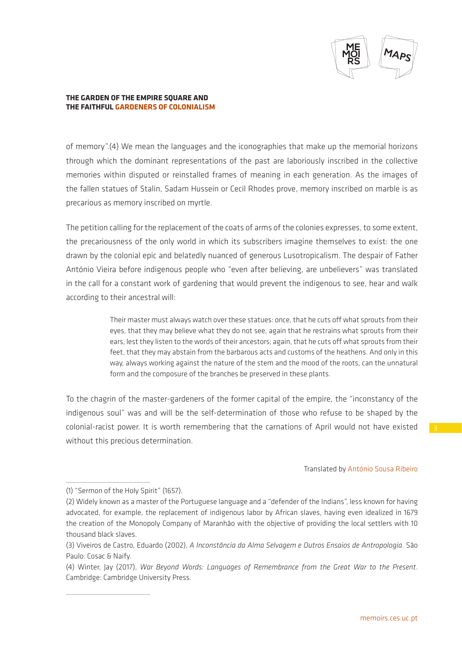

## **THE GARDEN OF THE EMPIRE SQUARE AND THE FAITHFUL GARDENERS OF COLONIALISM**

of memory".(4) We mean the languages and the iconographies that make up the memorial horizons through which the dominant representations of the past are laboriously inscribed in the collective memories within disputed or reinstalled frames of meaning in each generation. As the images of the fallen statues of Stalin, Sadam Hussein or Cecil Rhodes prove, memory inscribed on marble is as precarious as memory inscribed on myrtle.

The petition calling for the replacement of the coats of arms of the colonies expresses, to some extent, the precariousness of the only world in which its subscribers imagine themselves to exist: the one drawn by the colonial epic and belatedly nuanced of generous Lusotropicalism. The despair of Father António Vieira before indigenous people who "even after believing, are unbelievers" was translated in the call for a constant work of gardening that would prevent the indigenous to see, hear and walk according to their ancestral will:

> Their master must always watch over these statues: once, that he cuts off what sprouts from their eyes, that they may believe what they do not see, again that he restrains what sprouts from their ears, lest they listen to the words of their ancestors; again, that he cuts off what sprouts from their feet, that they may abstain from the barbarous acts and customs of the heathens. And only in this way, always working against the nature of the stem and the mood of the roots, can the unnatural form and the composure of the branches be preserved in these plants.

To the chagrin of the master-gardeners of the former capital of the empire, the "inconstancy of the indigenous soul" was and will be the self-determination of those who refuse to be shaped by the colonial-racist power. It is worth remembering that the carnations of April would not have existed without this precious determination.

## Translated by António Sousa Ribeiro

 $\_$ 

 $\_$ 

<sup>(1) &</sup>quot;Sermon of the Holy Spirit" (1657).

<sup>(2)</sup> Widely known as a master of the Portuguese language and a "defender of the Indians", less known for having advocated, for example, the replacement of indigenous labor by African slaves, having even idealized in 1679 the creation of the Monopoly Company of Maranhão with the objective of providing the local settlers with 10 thousand black slaves.

<sup>(3)</sup> Viveiros de Castro, Eduardo (2002), *A Inconstância da Alma Selvagem e Outros Ensaios de Antropologia*. São Paulo: Cosac & Naify.

<sup>(4)</sup> Winter, Jay (2017), *War Beyond Words: Languages of Remembrance from the Great War to the Present*. Cambridge: Cambridge University Press.